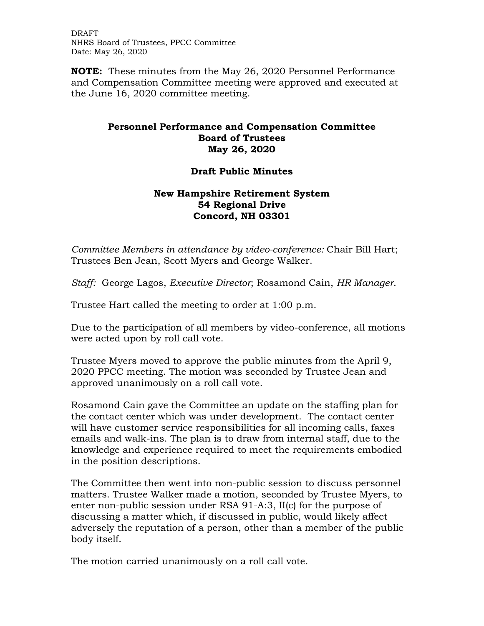DRAFT NHRS Board of Trustees, PPCC Committee Date: May 26, 2020

**NOTE:** These minutes from the May 26, 2020 Personnel Performance and Compensation Committee meeting were approved and executed at the June 16, 2020 committee meeting.

## **Personnel Performance and Compensation Committee Board of Trustees May 26, 2020**

## **Draft Public Minutes**

## **New Hampshire Retirement System 54 Regional Drive Concord, NH 03301**

*Committee Members in attendance by video-conference:* Chair Bill Hart; Trustees Ben Jean, Scott Myers and George Walker.

*Staff:* George Lagos, *Executive Director*; Rosamond Cain, *HR Manager*.

Trustee Hart called the meeting to order at 1:00 p.m.

Due to the participation of all members by video-conference, all motions were acted upon by roll call vote.

Trustee Myers moved to approve the public minutes from the April 9, 2020 PPCC meeting. The motion was seconded by Trustee Jean and approved unanimously on a roll call vote.

Rosamond Cain gave the Committee an update on the staffing plan for the contact center which was under development. The contact center will have customer service responsibilities for all incoming calls, faxes emails and walk-ins. The plan is to draw from internal staff, due to the knowledge and experience required to meet the requirements embodied in the position descriptions.

The Committee then went into non-public session to discuss personnel matters. Trustee Walker made a motion, seconded by Trustee Myers, to enter non-public session under RSA 91-A:3, II(c) for the purpose of discussing a matter which, if discussed in public, would likely affect adversely the reputation of a person, other than a member of the public body itself.

The motion carried unanimously on a roll call vote.